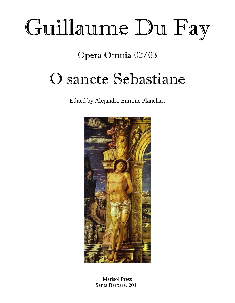# Guillaume Du Fay

Opera Omnia 02/03

## O sancte Sebastiane

Edited by Alejandro Enrique Planchart



Marisol Press Santa Barbara, 2011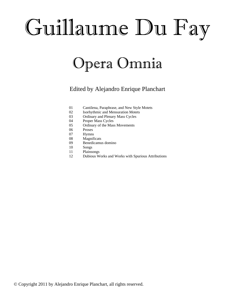# Guillaume Du Fay

## Opera Omnia

### Edited by Alejandro Enrique Planchart

- 01 Cantilena, Paraphrase, and New Style Motets
- 02 Isorhythmic and Mensuration Motets
- 03 Ordinary and Plenary Mass Cycles
- 04 Proper Mass Cycles
- 05 Ordinary of the Mass Movements
- 06 Proses
- 07 Hymns
- 08 Magnificats
- 09 Benedicamus domino
- 10 Songs
- 11 Plainsongs
- 12 Dubious Works and Works with Spurious Attributions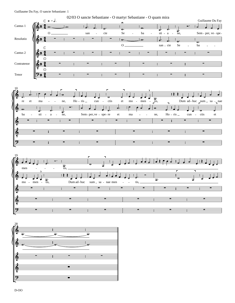





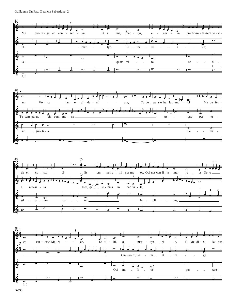





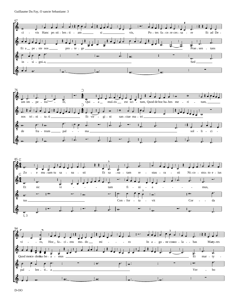





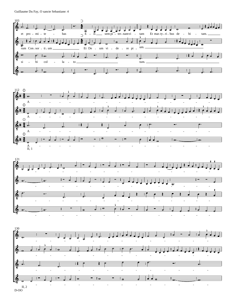Guillaume Du Fay, O sancte Sebastiane: 4







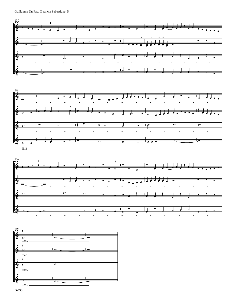

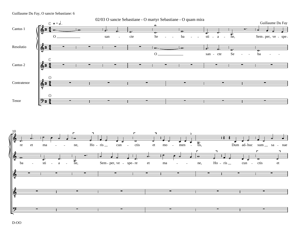#### Guillaume Du Fay, O sancte Sebastiane: 6





D-OO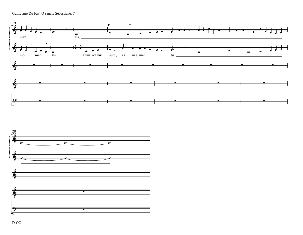Guillaume Du Fay, O sancte Sebastiane: 7



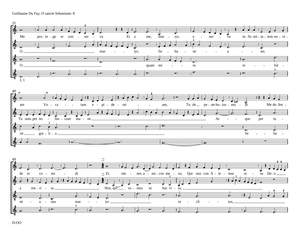Guillaume Du Fay, O sancte Sebastiane: 8



D-OO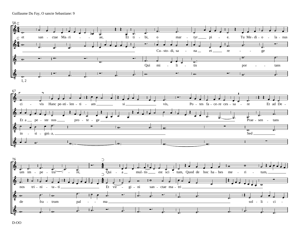Guillaume Du Fay, O sancte Sebastiane: 9

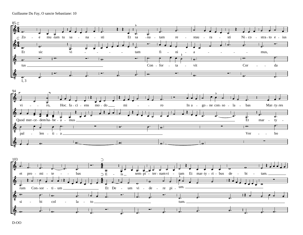Guillaume Du Fay, O sancte Sebastiane: 10



 $D-OO$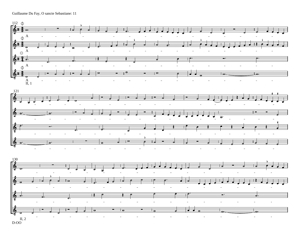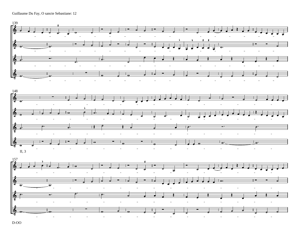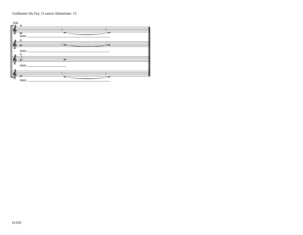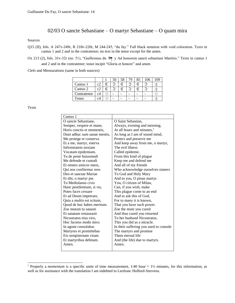### 02/03 O sancte Sebastiane – O martyr Sebastiane – O quam mira

#### Sources

Q15 (II), fols. A 247v-249r, R 218v-220r, M 244-245, "du fay." Full black notation with void coloration. Texts in cantus 1 and 2 and in the contratenor; no text in the tenor except for the amen.

Ox 213 (2), fols. 31v-32r (no. 51), "Guillermus du  $\equiv \gamma$  Ad honorem sancti sebastiani Martiris." Texts in cantus 1 and 2 and in the contratenor; tenor incipit "Gloria et honore" and amen.

Clefs and Mensurations (same in both sources)

|             |                               |       | 50 |   | 70 | 85 | 106 | .09 |
|-------------|-------------------------------|-------|----|---|----|----|-----|-----|
| Cantus 1    | $\mathfrak{c}^{\mathfrak{2}}$ | ൳     |    | ᢛ |    | G  |     |     |
| Cantus 2    | c2                            | ۲     |    | G |    | C  |     |     |
| Contratenor | c4                            | ( - ) |    |   |    |    |     |     |
| Tenor       |                               | ۰     |    |   |    |    |     |     |

Texts

| Cantus 1                    |                                        |  |  |  |  |
|-----------------------------|----------------------------------------|--|--|--|--|
| O sancte Sebastiane,        | O Saint Sebastian,                     |  |  |  |  |
| Semper, vespere et mane,    | Always, evening and morning,           |  |  |  |  |
| Horis cunctis et momentis,  | At all hours and minutes, $1$          |  |  |  |  |
| Dum adhuc sum sanae mentis, | As long as I am of sound mind,         |  |  |  |  |
| Me protege et conserva      | Protect and preserve me                |  |  |  |  |
| Et a me, martyr, enerva     | And keep away from me, o martyr,       |  |  |  |  |
| Infirmitatem noxiam         | The evil illness                       |  |  |  |  |
| Vocatam epidemiam.          | Called epidemic.                       |  |  |  |  |
| Tu de peste huiusmodi       | From this kind of plague               |  |  |  |  |
| Me defende et custodi       | Keep me and defend me                  |  |  |  |  |
| Et omnes amicos meos.       | And all of my friends                  |  |  |  |  |
| Qui nos confitemur reos     | Who acknowledge ourselves sinners      |  |  |  |  |
| Deo et sanctae Mariae       | To God and Holy Mary                   |  |  |  |  |
| Et tibi, o martyr pie.      | And to you, O pious martyr.            |  |  |  |  |
| Tu Mediolanus civis         | You, O citizen of Milan.               |  |  |  |  |
| Hanc pestilentiam, si vis,  | Can, if you wish, make                 |  |  |  |  |
| Potes faces cessare         | This plague come to an end             |  |  |  |  |
| Et ad Deum impetrare,       | And to ask this of God,                |  |  |  |  |
| Quia a multis est scitum,   | For to many it is known,               |  |  |  |  |
| Quod de hoc habes meritum.  | That you have such power.              |  |  |  |  |
| Zoe mutam tu sanasti        | Zoe the mute you cured                 |  |  |  |  |
| Et sanatam restaurasti      | And thus cured you returned            |  |  |  |  |
| Nicostratos eius viro,      | To her husband Nicostratus.            |  |  |  |  |
| Hoc faciens modo miro.      | This you did as a miracle.             |  |  |  |  |
| In agone consolabas         | In their suffering you used to console |  |  |  |  |
| Martyres et promittebas     | The martyrs and promise                |  |  |  |  |
| Eis sempiternam vitam       | Them eternal life                      |  |  |  |  |
| Et martyribus debitam.      | And (the life) due to martyrs.         |  |  |  |  |
| Amen.                       | Amen.                                  |  |  |  |  |
|                             |                                        |  |  |  |  |

<span id="page-15-0"></span><sup>&</sup>lt;sup>1</sup> Properly a *momentum* is a specific unite of time measurement, 1/40 hour = 1½ minutes, for this information, as well as for assistance with the translation I am indebted to Leofranc Holford-Strevens.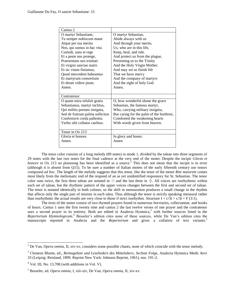| Cantus <sub>2</sub>             |                                          |  |  |  |  |
|---------------------------------|------------------------------------------|--|--|--|--|
| O martyr Sebastiane,            | O martyr Sebastian,                      |  |  |  |  |
| Tu semper nobiscum mane         | Abide always with us                     |  |  |  |  |
| Atque per tua merita            | And through your merits,                 |  |  |  |  |
| Nos, qui sumus in hac vita      | Us, who are in this life,                |  |  |  |  |
| Custodi, sana et rege           | Keep, heal, and rule.                    |  |  |  |  |
| Et a peste nos protege,         | And protect us from the plague,          |  |  |  |  |
| Praesentans nos trinitati       | Presenting us to the Trinity             |  |  |  |  |
| Et virgini sanctae matri.       | And the Holy Virgin Mother.              |  |  |  |  |
| Et sic vitam finiamus,          | And may we so finish life                |  |  |  |  |
| Quod mercedem habeamus          | That we have mercy                       |  |  |  |  |
| Et martyrum consortium          | And the company of martyrs               |  |  |  |  |
| Et deum videre pium.            | And the sight of holy God.               |  |  |  |  |
| Amen.                           | Amen.                                    |  |  |  |  |
|                                 |                                          |  |  |  |  |
| Contratenor                     |                                          |  |  |  |  |
| O quam mira refulsit gratia     | O, how wonderful shone the grace         |  |  |  |  |
| Sebastianus, martyr inclitus,   | Sebastian, the famous martyr,            |  |  |  |  |
| Qui militis portans insignia,   | Who, carrying military insignia,         |  |  |  |  |
| Sed de fratrum palma sollicitus | But caring for the palm of the brethren, |  |  |  |  |
| Confortavit corda pallentia     | Comforted the weakening hearts           |  |  |  |  |
| Verbo sibi collatus caelitus.   | With words given from heaven.            |  |  |  |  |
|                                 |                                          |  |  |  |  |
| Tenor in Ox 213                 |                                          |  |  |  |  |
| Gloria et honore.               | In glory and honor.                      |  |  |  |  |
| Amen.                           | Amen                                     |  |  |  |  |
|                                 |                                          |  |  |  |  |

 The tenor color consists of a long melody (89 notes) in mode 1, divided by the taleae into three segments of 29 notes with the last two notes for the final cadence at the very end of the motet. Despite the incipit *Gloria et honore* in Ox 213 no plainsong has been identified as a source.<sup>2</sup> This does not mean that the incipit is in error (although it is absent from Q15). To be sure a number of Italia[n](#page-16-0) motets of the early fifteenth century use tenors composed *ad hoc*. The length of the melody suggests that this tenor, like the tenor of the motet *Rite maiorem* comes most likely from the melismatic end of the respond of an as yet unidentified responsory for St. Sebastian. The tenor color runs twice, the first three taleae are notated in  $\odot$  and the last three in  $\odot$ . All voices are isorhythmic within each set of taleae, but the rhythmic pattern of the upper voices changes between the first and second set of taleae. The tenor is notated identically in both colores, so the shift in mensuration produces a small change in the rhythm that affects only the single pair of minims in each talea. Thus although the tenor is strictly speaking mensural rather than isorhythmic the actual results are very close to those if strict isorhythm. Structure I +  $c/3t > c/3t + F(3:1)$ .

 The texts of the motet consist of two rhymed prayers found in numerous breviaries, collectaneae, and books of hours. Cantus 1 uses the first twenty nine and cantus 2 the last twelve verses of one prayer and the contratenor uses a second prayer in its entirety. Both are edited in Analecta Hymnica,<sup>3</sup> with further sources listed in the *Repertorium Hymnologicum*. <sup>4</sup> Besseler's edition cites none of these source[s,](#page-16-1) while De Van's edition cites the manuscripts reported in [A](#page-16-2)nalecta and the *Repertorium* and gives a collati[on](#page-16-3) of text variants.<sup>5</sup>

<span id="page-16-0"></span><sup>&</sup>lt;sup>2</sup> De Van, *Opera omnia*, II, xiv-xv, considers some possible chants, none of which coincide with the tenor melody.

<span id="page-16-1"></span><sup>3</sup> Clemens Blume, ed., *Reimsgebete und Leselieders des Mittelalters*, *Sechste Folge*, Analecta Hymnica Medii Aevi 33 (Leipzig: Reisland, 1899. Reprint New York: Johnson Reprint, 1961), nos. 191-2.

<span id="page-16-2"></span> $<sup>4</sup>$  Vol. III, No. 13,708 (with additions in Vol. V).</sup>

<span id="page-16-3"></span><sup>5</sup> Besseler, ed. *Opera omnia*, I, xiii-xiv, De Van, *Opera omnia*, II, xiv-xv.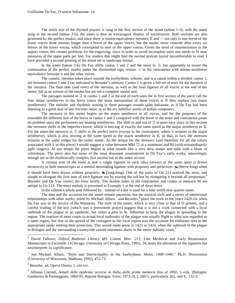The entire text of the rhymed prayers is sung in the first section of the motet (taleae 1-3), with the amen sung in the second (taleae 3-6), the amen is thus an extravagant display of vocalization. Both sections are also governed by the perfect *modus*, and since there is minim equivalence between  $\epsilon$  and  $\odot$  not only is one breve of the lower voices three minims longer than a breve of the upper voices, but the modal *initia* coincide after every six breves of the lower voices, which correspond to nine of the upper voices. Given the level of ornamentation in the uppers voices this creates problems for the engraving, since in order to avoid incomplete units one needs to fit nine measures of the upper parts per line. For readers that might find the normal portrait layout uncomfortable to read, I have provided a second printing of the motet set in landscape format.

In the amen (taleae 3-6) Du Fay shifts cantus 1 and 2 and the tenor to  $\varphi$ , but apparently to insure the continuation of the perfect *modus* under the diminished sign, retains  $\odot$  in the contratenor with minim-semibreve equivalence between it and the other voices.

 The canonic introitus takes place outside the isorhythmic scheme, and is a canon within a divided cantus 1, not between cantus 1 and 2 (as indicated in Besseler's edition). Cantus 2 is given a full set of rests for the duration of the introitus. The final note (and rests) of the introitus, as well as the final ligature of all voices at the end of the motet, fall at an *initium* of the *modus* but are not a complete modal unit.

The passages notated in  $\Im$  in cantus 1 and 2 at the end of each talea the in first section of the piece call for four minor semibreves to the breve (since the main mensuration of these voices is  $\epsilon$  they replace two major semibreves). The melodic and rhythmic writing in these passages sounds quite Italianate, as if Du Fay had been listening to a good deal of late *trecento* music or to the *ars subtilior* works of Italian composers.

 The *mensura* in this motet begins on the major semibreve in all voices, and for the purposes of the ensemble the different size of the breve in cantus 1 and 2 compared with the breve in the tenor and contratenor poses no problem since the performers are beating semibreves. The shift in and out of  $\Im$  is quite easy since in this section the *mensura* shifts to the imperfect breve, which is moving at exactly the same speed as the major semibreve in  $\mathbb{C}$ . For the amen the *mensura* in  $\Diamond$  shifts to the perfect breve (except in the contratenor, where it remains in the major semibreve), which is also moving at the same speed as the major semibreve in  $C$ , so that, in fact, the *mensura* remains at the same tempo for the entire motet. As the tempo for the *mensura* (and therefore for all the values associated with it in this piece) I would suggest a value between MM 72 at a minimum and 84 (with extraordinarily agile singers). At any tempo the piece begins at what sounds like a very slow tempo and ends with a blaze of coloraturas. The piece also has some of the most dissonant counterpoint in Du Fay's early works, interestingly enough not in the rhythmically complex first section but in the amen section.

 A curious trait of the tenor is that a single ligature in each talea (always at the same spot) is drawn i[n](#page-17-0)correctly in both manuscripts as a normal descending ligature with propriety and perfection:  $\blacktriangleright$  (breve-long) when it should have been drawn without propriety:  $\epsilon$  (long-long). One of the users of Ox 213 noticed the error, and sought to elongate the first note of each ligature not by erasing the tail but by elongating it beyond all proportion.<sup>6</sup> Besseler and De Van correct the error tacitly. The double notes in the contratenor and cantus at measure 90 are unique to Ox 213. The tenor melody is presented in Example 1 at the end of these notes.

In the edition a whole note followed by : instea[d o](#page-17-1)f a dot is use[d](#page-17-2) for a note worth nine quarter notes.

 The date and the occasion for the motet remain uncertain, but the musical style and a series of intertextual relationships with other works, noted by Michael Allsen,<sup>7</sup> and Besseler,<sup>8</sup> place the work in the years 1420-24, when Du Fay was in the service of the Malatesta. The style of the motet, which is very close to that of *O gemma*, and a careful reading of the text (which was a preexistent prayer) suggest that it is not a work connected with a local outbreak of the plague or an epidemic, but rather a plea to St. Sebastian to keep the plague to spreading to the region. The reaction of most courts to actual local outbreaks of the plague was usually flight to what was regarded as a saner region, but fear of the spread of the contagion to the local region was the occasion for [el](#page-17-3)aborate rites to the appropriate saints seeking their protection. This would made sense in 1423 or 1424, when the outbreak of the plague in Bologna and the surrounding countryside caused enormous alarm in the entire Adriatic coast.<sup>9</sup>

<span id="page-17-0"></span><sup>6</sup> David Fallows, Oxford Bodleian Library MS. Canon. Misc. 213, Late Medieval and Early Renaissance Manuscripts in Facsimile 1 (Chicago: University of Chicago Press, 1995), 34, notes the alteration of the ligatures but misinterprets its significance.

<span id="page-17-2"></span><span id="page-17-1"></span><sup>7</sup> Jon Michael Allsen, "Style and Intertextuality in the Isorhythmic Motet, 1400-1440," Ph.D. Dissertation (University of Wisconsin, Madison, 1992), 472-73.

<span id="page-17-3"></span>8 Besseler, ed. *Opera Omnia*, I, xiii-xiv.

 $\overline{a}$ 

9 Alfonso Corradi, *Annali delle epidemie occorse in Italia dalle prime memorie fino al 1850*, 5 vols. (Bologna: Gamberini & Parmeggiani, 1869-95. Reprint Bologna: Forni, 1972-3), I, 260-5, particularly 262, and V, 132-3.